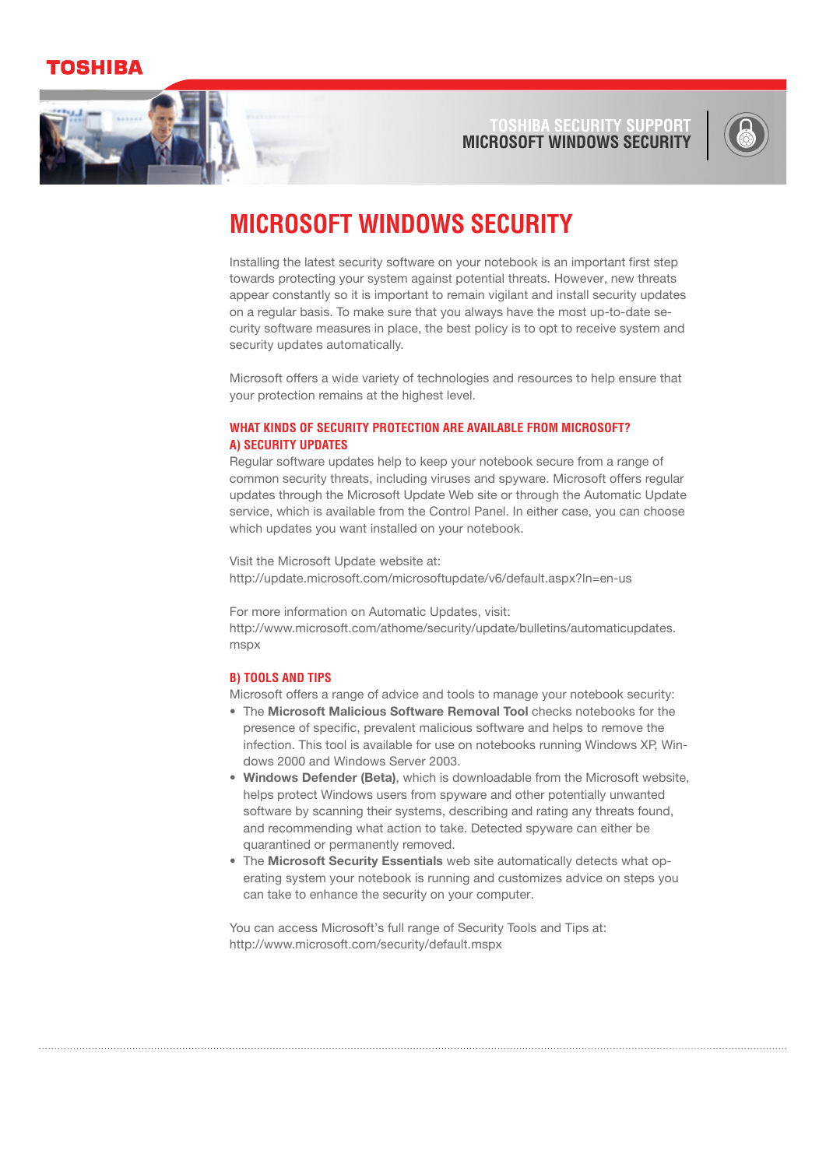### DSHIBA



**Microsof Toshiba t windows securi ty SUPPOR** 



# **Microsoft Windows Security**

Installing the latest security software on your notebook is an important first step towards protecting your system against potential threats. However, new threats appear constantly so it is important to remain vigilant and install security updates on a regular basis. To make sure that you always have the most up-to-date security software measures in place, the best policy is to opt to receive system and security updates automatically.

Microsoft offers a wide variety of technologies and resources to help ensure that your protection remains at the highest level.

### **What kinds of security protection are available from Microsoft? a) Security Updates**

Regular software updates help to keep your notebook secure from a range of common security threats, including viruses and spyware. Microsoft offers regular updates through the Microsoft Update Web site or through the Automatic Update service, which is available from the Control Panel. In either case, you can choose which updates you want installed on your notebook.

Visit the Microsoft Update website at: <http://update.microsoft.com/microsoftupdate/v6/default.aspx?ln=en-us>

For more information on Automatic Updates, visit: [http://www.microsoft.com/athome/security/update/bulletins/automaticupdates.](http://www.microsoft.com/athome/security/update/bulletins/automaticupdates.mspx) [mspx](http://www.microsoft.com/athome/security/update/bulletins/automaticupdates.mspx)

#### **b) Tools and Tips**

Microsoft offers a range of advice and tools to manage your notebook security:

- The **Microsoft Malicious Software Removal Tool** checks notebooks for the presence of specific, prevalent malicious software and helps to remove the infection. This tool is available for use on notebooks running Windows XP, Windows 2000 and Windows Server 2003.
- **Windows Defender (Beta)**, which is downloadable from the Microsoft website, **•** helps protect Windows users from spyware and other potentially unwanted software by scanning their systems, describing and rating any threats found, and recommending what action to take. Detected spyware can either be quarantined or permanently removed.
- The **Microsoft Security Essentials** web site automatically detects what op-•erating system your notebook is running and customizes advice on steps you can take to enhance the security on your computer.

You can access Microsoft's full range of Security Tools and Tips at: <http://www.microsoft.com/security/default.mspx>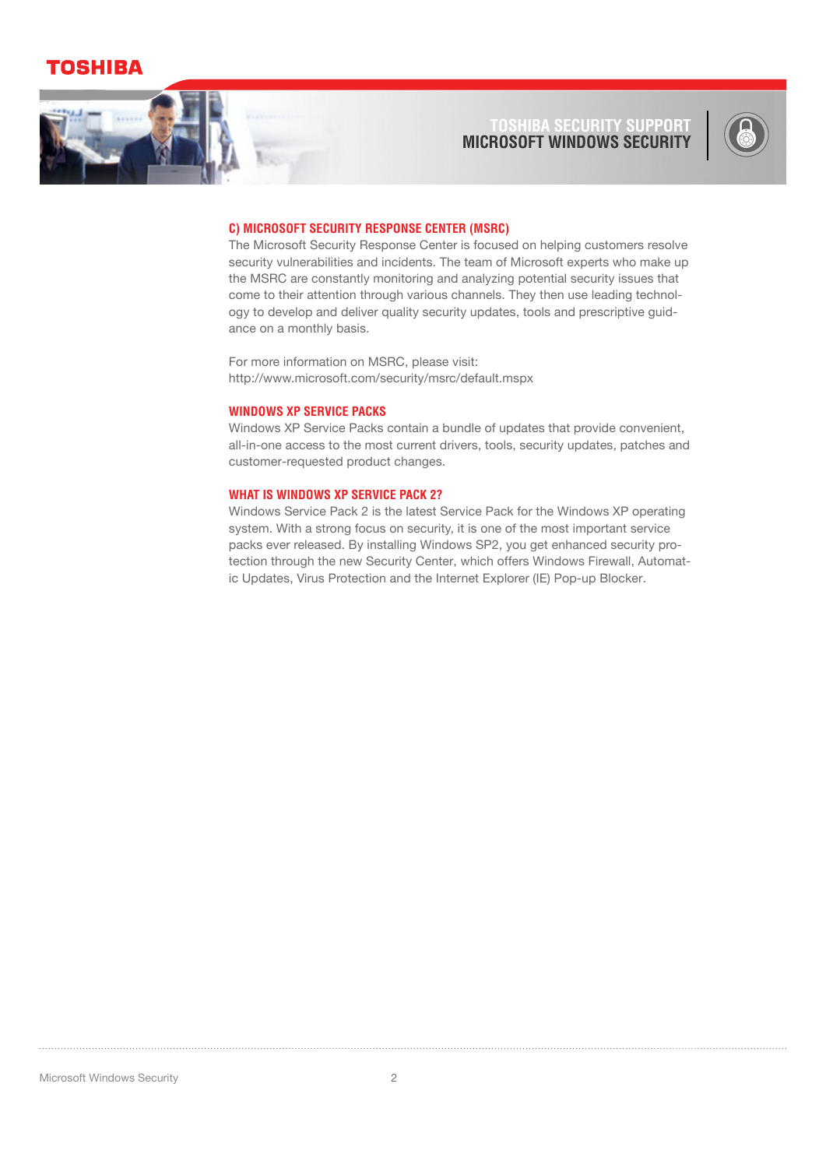## OSHIBA



#### **Microsof Toshiba t windows securi ty SUPPOR**



#### **c) Microsoft Security Response Center (MSRC)**

The Microsoft Security Response Center is focused on helping customers resolve security vulnerabilities and incidents. The team of Microsoft experts who make up the MSRC are constantly monitoring and analyzing potential security issues that come to their attention through various channels. They then use leading technology to develop and deliver quality security updates, tools and prescriptive guidance on a monthly basis.

For more information on MSRC, please visit: <http://www.microsoft.com/security/msrc/default.mspx>

### **Windows XP Service Packs**

Windows XP Service Packs contain a bundle of updates that provide convenient, all-in-one access to the most current drivers, tools, security updates, patches and customer-requested product changes.

#### **What is Windows XP Service Pack 2?**

Windows Service Pack 2 is the latest Service Pack for the Windows XP operating system. With a strong focus on security, it is one of the most important service packs ever released. By installing Windows SP2, you get enhanced security protection through the new Security Center, which offers Windows Firewall, Automatic Updates, Virus Protection and the Internet Explorer (IE) Pop-up Blocker.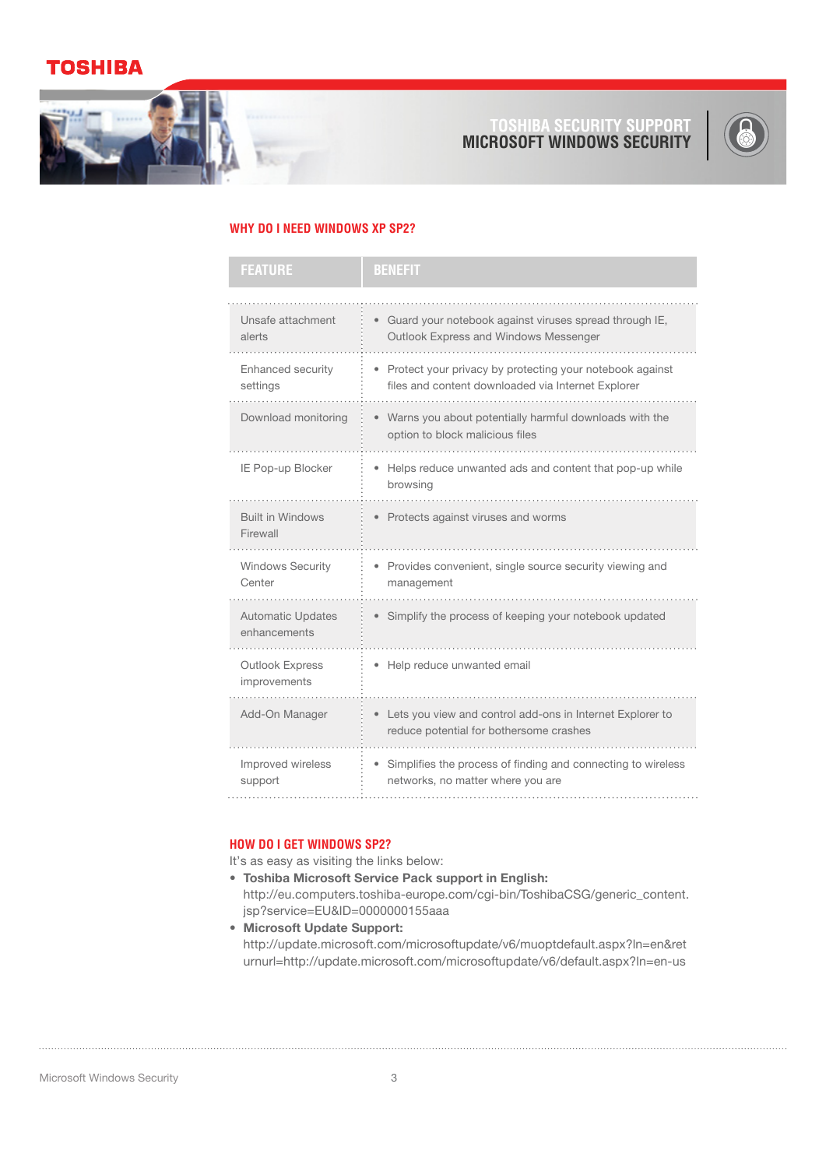### **OSHIBA**



**Microsof Toshiba t windows securi Security Suppor**



#### **Why do I need Windows XP SP2?**

| <b>FEATURE</b>                           | <b>BENEFIT</b>                                                                                                   |
|------------------------------------------|------------------------------------------------------------------------------------------------------------------|
|                                          |                                                                                                                  |
| Unsafe attachment<br>alerts              | • Guard your notebook against viruses spread through IE,<br>Outlook Express and Windows Messenger                |
| Enhanced security<br>settings            | • Protect your privacy by protecting your notebook against<br>files and content downloaded via Internet Explorer |
| Download monitoring                      | • Warns you about potentially harmful downloads with the<br>option to block malicious files                      |
| IE Pop-up Blocker                        | • Helps reduce unwanted ads and content that pop-up while<br>browsing                                            |
| <b>Built in Windows</b><br>Firewall      | • Protects against viruses and worms                                                                             |
| <b>Windows Security</b><br>Center        | • Provides convenient, single source security viewing and<br>management                                          |
| <b>Automatic Updates</b><br>enhancements | • Simplify the process of keeping your notebook updated                                                          |
| <b>Outlook Express</b><br>improvements   | • Help reduce unwanted email                                                                                     |
| Add-On Manager                           | • Lets you view and control add-ons in Internet Explorer to<br>reduce potential for bothersome crashes           |
| Improved wireless<br>support             | • Simplifies the process of finding and connecting to wireless<br>networks, no matter where you are              |

### **How do I get Windows SP2?**

It's as easy as visiting the links below:

- **Toshiba Microsoft Service Pack support in English: •** [http://eu.computers.toshiba-europe.com/cgi-bin/ToshibaCSG/generic\\_content.](http://eu.computers.toshiba-europe.com/cgi-bin/ToshibaCSG/generic_content.jsp?service=EU&ID=0000000155aaa) [jsp?service=EU&ID=0000000155aaa](http://eu.computers.toshiba-europe.com/cgi-bin/ToshibaCSG/generic_content.jsp?service=EU&ID=0000000155aaa)
- **Microsoft Update Support: •**[http://update.microsoft.com/microsoftupdate/v6/muoptdefault.aspx?ln=en&ret](http://update.microsoft.com/microsoftupdate/v6/muoptdefault.aspx?ln=en&returnurl) [urnurl](http://update.microsoft.com/microsoftupdate/v6/muoptdefault.aspx?ln=en&returnurl)[=http://update.microsoft.com/microsoftupdate/v6/default.aspx?ln=en-us](http://update.microsoft.com/microsoftupdate/v6/default.aspx?ln=en-us)